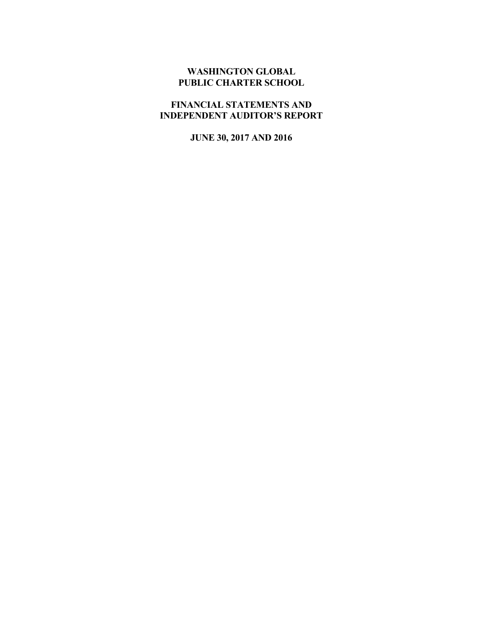## **WASHINGTON GLOBAL PUBLIC CHARTER SCHOOL**

# **FINANCIAL STATEMENTS AND INDEPENDENT AUDITOR'S REPORT**

**JUNE 30, 2017 AND 2016**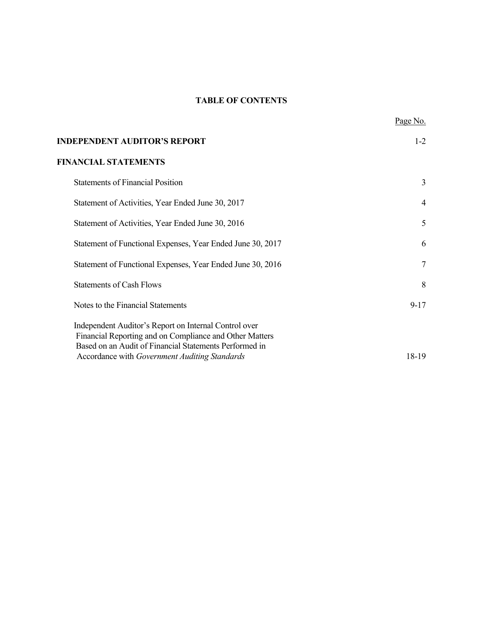# **TABLE OF CONTENTS**

| <b>INDEPENDENT AUDITOR'S REPORT</b>                                                                                                                                                                                         | $1 - 2$        |
|-----------------------------------------------------------------------------------------------------------------------------------------------------------------------------------------------------------------------------|----------------|
| <b>FINANCIAL STATEMENTS</b>                                                                                                                                                                                                 |                |
| <b>Statements of Financial Position</b>                                                                                                                                                                                     | 3              |
| Statement of Activities, Year Ended June 30, 2017                                                                                                                                                                           | $\overline{4}$ |
| Statement of Activities, Year Ended June 30, 2016                                                                                                                                                                           | 5              |
| Statement of Functional Expenses, Year Ended June 30, 2017                                                                                                                                                                  | 6              |
| Statement of Functional Expenses, Year Ended June 30, 2016                                                                                                                                                                  | 7              |
| <b>Statements of Cash Flows</b>                                                                                                                                                                                             | 8              |
| Notes to the Financial Statements                                                                                                                                                                                           | $9 - 17$       |
| Independent Auditor's Report on Internal Control over<br>Financial Reporting and on Compliance and Other Matters<br>Based on an Audit of Financial Statements Performed in<br>Accordance with Government Auditing Standards | 18-19          |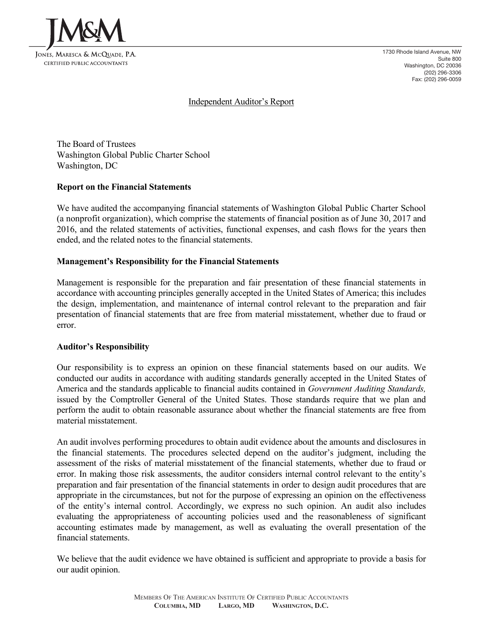

1730 Rhode Island Avenue, NW Suite 800 Washington, DC 20036 (202) 296-3306 Fax: (202) 296-0059

## Independent Auditor's Report

The Board of Trustees Washington Global Public Charter School Washington, DC

#### **Report on the Financial Statements**

We have audited the accompanying financial statements of Washington Global Public Charter School (a nonprofit organization), which comprise the statements of financial position as of June 30, 2017 and 2016, and the related statements of activities, functional expenses, and cash flows for the years then ended, and the related notes to the financial statements.

#### **Management's Responsibility for the Financial Statements**

Management is responsible for the preparation and fair presentation of these financial statements in accordance with accounting principles generally accepted in the United States of America; this includes the design, implementation, and maintenance of internal control relevant to the preparation and fair presentation of financial statements that are free from material misstatement, whether due to fraud or error.

#### **Auditor's Responsibility**

Our responsibility is to express an opinion on these financial statements based on our audits. We conducted our audits in accordance with auditing standards generally accepted in the United States of America and the standards applicable to financial audits contained in *Government Auditing Standards,* issued by the Comptroller General of the United States. Those standards require that we plan and perform the audit to obtain reasonable assurance about whether the financial statements are free from material misstatement.

An audit involves performing procedures to obtain audit evidence about the amounts and disclosures in the financial statements. The procedures selected depend on the auditor's judgment, including the assessment of the risks of material misstatement of the financial statements, whether due to fraud or error. In making those risk assessments, the auditor considers internal control relevant to the entity's preparation and fair presentation of the financial statements in order to design audit procedures that are appropriate in the circumstances, but not for the purpose of expressing an opinion on the effectiveness of the entity's internal control. Accordingly, we express no such opinion. An audit also includes evaluating the appropriateness of accounting policies used and the reasonableness of significant accounting estimates made by management, as well as evaluating the overall presentation of the financial statements.

We believe that the audit evidence we have obtained is sufficient and appropriate to provide a basis for our audit opinion.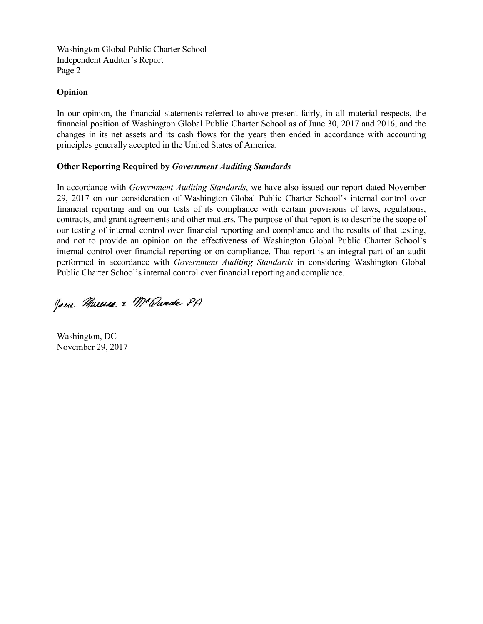Washington Global Public Charter School Independent Auditor's Report Page 2

### **Opinion**

In our opinion, the financial statements referred to above present fairly, in all material respects, the financial position of Washington Global Public Charter School as of June 30, 2017 and 2016, and the changes in its net assets and its cash flows for the years then ended in accordance with accounting principles generally accepted in the United States of America.

## **Other Reporting Required by** *Government Auditing Standards*

In accordance with *Government Auditing Standards*, we have also issued our report dated November 29, 2017 on our consideration of Washington Global Public Charter School's internal control over financial reporting and on our tests of its compliance with certain provisions of laws, regulations, contracts, and grant agreements and other matters. The purpose of that report is to describe the scope of our testing of internal control over financial reporting and compliance and the results of that testing, and not to provide an opinion on the effectiveness of Washington Global Public Charter School's internal control over financial reporting or on compliance. That report is an integral part of an audit performed in accordance with *Government Auditing Standards* in considering Washington Global Public Charter School's internal control over financial reporting and compliance.

Jam Marie & Mc Quade PA

Washington, DC November 29, 2017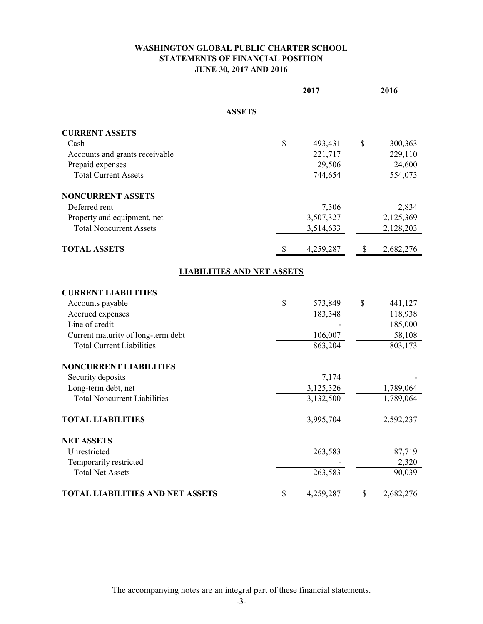## **WASHINGTON GLOBAL PUBLIC CHARTER SCHOOL STATEMENTS OF FINANCIAL POSITION JUNE 30, 2017 AND 2016**

|                                         | 2017            | 2016            |
|-----------------------------------------|-----------------|-----------------|
| <b>ASSETS</b>                           |                 |                 |
| <b>CURRENT ASSETS</b>                   |                 |                 |
| Cash                                    | \$<br>493,431   | \$<br>300,363   |
| Accounts and grants receivable          | 221,717         | 229,110         |
| Prepaid expenses                        | 29,506          | 24,600          |
| <b>Total Current Assets</b>             | 744,654         | 554,073         |
| <b>NONCURRENT ASSETS</b>                |                 |                 |
| Deferred rent                           | 7,306           | 2,834           |
| Property and equipment, net             | 3,507,327       | 2,125,369       |
| <b>Total Noncurrent Assets</b>          | 3,514,633       | 2,128,203       |
| <b>TOTAL ASSETS</b>                     | \$<br>4,259,287 | \$<br>2,682,276 |
| <b>LIABILITIES AND NET ASSETS</b>       |                 |                 |
| <b>CURRENT LIABILITIES</b>              |                 |                 |
| Accounts payable                        | \$<br>573,849   | \$<br>441,127   |
| Accrued expenses                        | 183,348         | 118,938         |
| Line of credit                          |                 | 185,000         |
| Current maturity of long-term debt      | 106,007         | 58,108          |
| <b>Total Current Liabilities</b>        | 863,204         | 803,173         |
| <b>NONCURRENT LIABILITIES</b>           |                 |                 |
| Security deposits                       | 7,174           |                 |
| Long-term debt, net                     | 3,125,326       | 1,789,064       |
| <b>Total Noncurrent Liabilities</b>     | 3,132,500       | 1,789,064       |
| <b>TOTAL LIABILITIES</b>                | 3,995,704       | 2,592,237       |
| <b>NET ASSETS</b>                       |                 |                 |
| Unrestricted                            | 263,583         | 87,719          |
| Temporarily restricted                  |                 | 2,320           |
| <b>Total Net Assets</b>                 | 263,583         | 90,039          |
| <b>TOTAL LIABILITIES AND NET ASSETS</b> | \$<br>4,259,287 | \$<br>2,682,276 |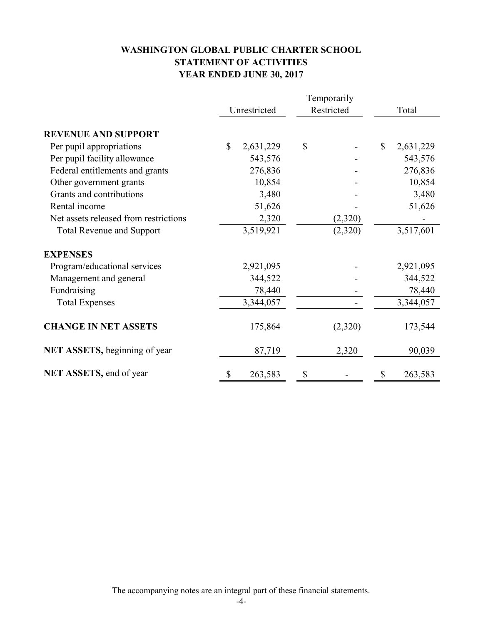# **WASHINGTON GLOBAL PUBLIC CHARTER SCHOOL STATEMENT OF ACTIVITIES YEAR ENDED JUNE 30, 2017**

|                                       | Temporarily  |           |    |            |              |           |
|---------------------------------------|--------------|-----------|----|------------|--------------|-----------|
|                                       | Unrestricted |           |    | Restricted | Total        |           |
| <b>REVENUE AND SUPPORT</b>            |              |           |    |            |              |           |
| Per pupil appropriations              | $\mathbb{S}$ | 2,631,229 | \$ |            | $\mathbb{S}$ | 2,631,229 |
| Per pupil facility allowance          |              | 543,576   |    |            |              | 543,576   |
| Federal entitlements and grants       |              | 276,836   |    |            |              | 276,836   |
| Other government grants               |              | 10,854    |    |            |              | 10,854    |
| Grants and contributions              |              | 3,480     |    |            |              | 3,480     |
| Rental income                         |              | 51,626    |    |            |              | 51,626    |
| Net assets released from restrictions |              | 2,320     |    | (2,320)    |              |           |
| <b>Total Revenue and Support</b>      |              | 3,519,921 |    | (2,320)    |              | 3,517,601 |
| <b>EXPENSES</b>                       |              |           |    |            |              |           |
| Program/educational services          |              | 2,921,095 |    |            |              | 2,921,095 |
| Management and general                |              | 344,522   |    |            |              | 344,522   |
| Fundraising                           |              | 78,440    |    |            |              | 78,440    |
| <b>Total Expenses</b>                 |              | 3,344,057 |    |            |              | 3,344,057 |
| <b>CHANGE IN NET ASSETS</b>           |              | 175,864   |    | (2,320)    |              | 173,544   |
| NET ASSETS, beginning of year         |              | 87,719    |    | 2,320      |              | 90,039    |
| NET ASSETS, end of year               | \$           | 263,583   | \$ |            | \$           | 263,583   |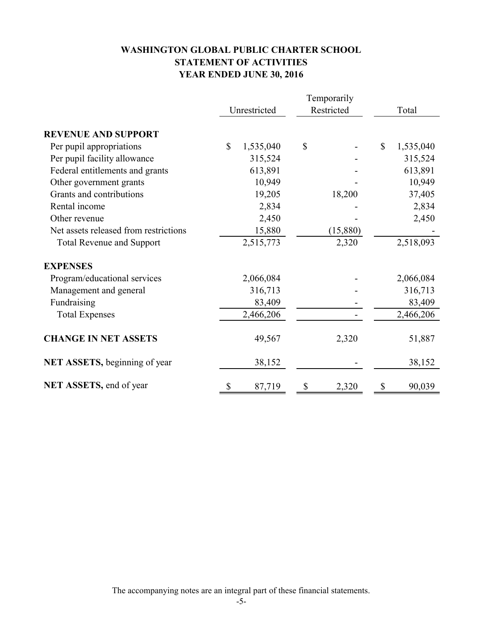# **WASHINGTON GLOBAL PUBLIC CHARTER SCHOOL STATEMENT OF ACTIVITIES YEAR ENDED JUNE 30, 2016**

|                                       |              | Unrestricted |    | Restricted |    | Total     |
|---------------------------------------|--------------|--------------|----|------------|----|-----------|
| <b>REVENUE AND SUPPORT</b>            |              |              |    |            |    |           |
| Per pupil appropriations              | $\mathbb{S}$ | 1,535,040    | \$ |            | \$ | 1,535,040 |
| Per pupil facility allowance          |              | 315,524      |    |            |    | 315,524   |
| Federal entitlements and grants       |              | 613,891      |    |            |    | 613,891   |
| Other government grants               |              | 10,949       |    |            |    | 10,949    |
| Grants and contributions              |              | 19,205       |    | 18,200     |    | 37,405    |
| Rental income                         |              | 2,834        |    |            |    | 2,834     |
| Other revenue                         |              | 2,450        |    |            |    | 2,450     |
| Net assets released from restrictions |              | 15,880       |    | (15,880)   |    |           |
| <b>Total Revenue and Support</b>      |              | 2,515,773    |    | 2,320      |    | 2,518,093 |
| <b>EXPENSES</b>                       |              |              |    |            |    |           |
| Program/educational services          |              | 2,066,084    |    |            |    | 2,066,084 |
| Management and general                |              | 316,713      |    |            |    | 316,713   |
| Fundraising                           |              | 83,409       |    |            |    | 83,409    |
| <b>Total Expenses</b>                 |              | 2,466,206    |    |            |    | 2,466,206 |
| <b>CHANGE IN NET ASSETS</b>           |              | 49,567       |    | 2,320      |    | 51,887    |
| NET ASSETS, beginning of year         |              | 38,152       |    |            |    | 38,152    |
| NET ASSETS, end of year               | \$           | 87,719       | \$ | 2,320      | \$ | 90,039    |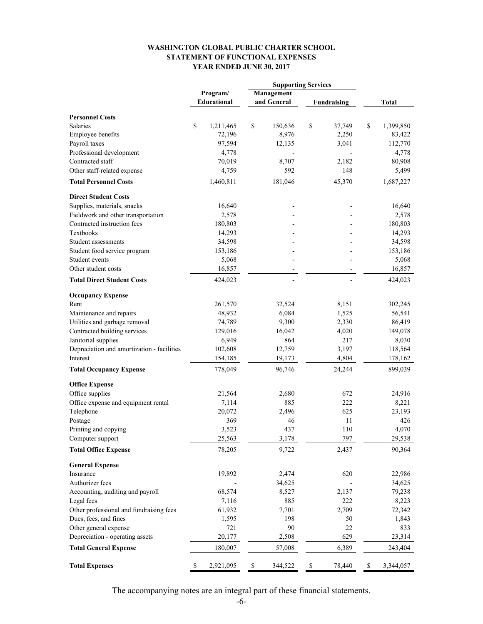#### **WASHINGTON GLOBAL PUBLIC CHARTER SCHOOL STATEMENT OF FUNCTIONAL EXPENSES YEAR ENDED JUNE 30, 2017**

|                                            |                    | <b>Supporting Services</b> |                    |                 |
|--------------------------------------------|--------------------|----------------------------|--------------------|-----------------|
|                                            | Program/           | Management                 |                    |                 |
|                                            | <b>Educational</b> | and General                | <b>Fundraising</b> | <b>Total</b>    |
| <b>Personnel Costs</b>                     |                    |                            |                    |                 |
| <b>Salaries</b>                            | \$<br>1,211,465    | \$<br>150,636              | \$<br>37,749       | \$<br>1,399,850 |
| <b>Employee benefits</b>                   | 72,196             | 8,976                      | 2,250              | 83,422          |
| Payroll taxes                              | 97,594             | 12,135                     | 3,041              | 112,770         |
| Professional development                   | 4,778              |                            |                    | 4,778           |
| Contracted staff                           | 70,019             | 8,707                      | 2,182              | 80,908          |
| Other staff-related expense                | 4,759              | 592                        | 148                | 5,499           |
| <b>Total Personnel Costs</b>               | 1,460,811          | 181,046                    | 45,370             | 1,687,227       |
| <b>Direct Student Costs</b>                |                    |                            |                    |                 |
| Supplies, materials, snacks                | 16,640             |                            |                    | 16,640          |
| Fieldwork and other transportation         | 2,578              |                            |                    | 2,578           |
| Contracted instruction fees                | 180,803            |                            |                    | 180,803         |
| Textbooks                                  | 14,293             |                            |                    | 14,293          |
| Student assessments                        | 34,598             |                            |                    | 34,598          |
| Student food service program               | 153,186            |                            |                    | 153,186         |
| Student events                             | 5,068              |                            |                    | 5,068           |
| Other student costs                        | 16,857             |                            |                    | 16,857          |
| <b>Total Direct Student Costs</b>          | 424,023            |                            |                    | 424,023         |
| <b>Occupancy Expense</b>                   |                    |                            |                    |                 |
| Rent                                       | 261,570            | 32,524                     | 8,151              | 302,245         |
| Maintenance and repairs                    | 48,932             | 6,084                      | 1,525              | 56,541          |
| Utilities and garbage removal              | 74,789             | 9,300                      | 2,330              | 86,419          |
| Contracted building services               | 129,016            | 16,042                     | 4,020              | 149,078         |
| Janitorial supplies                        | 6,949              | 864                        | 217                | 8,030           |
| Depreciation and amortization - facilities | 102,608            | 12,759                     | 3,197              | 118,564         |
| Interest                                   | 154,185            | 19,173                     | 4,804              | 178,162         |
| <b>Total Occupancy Expense</b>             | 778,049            | 96,746                     | 24,244             | 899,039         |
| <b>Office Expense</b>                      |                    |                            |                    |                 |
| Office supplies                            | 21,564             | 2,680                      | 672                | 24,916          |
| Office expense and equipment rental        | 7,114              | 885                        | 222                | 8,221           |
| Telephone                                  | 20,072             | 2,496                      | 625                | 23,193          |
| Postage                                    | 369                | 46                         | 11                 | 426             |
| Printing and copying                       | 3,523              | 437                        | 110                | 4,070           |
| Computer support                           | 25,563             | 3,178                      | 797                | 29,538          |
| <b>Total Office Expense</b>                | 78,205             | 9,722                      | 2,437              | 90,364          |
| <b>General Expense</b>                     |                    |                            |                    |                 |
| Insurance                                  | 19,892             | 2,474                      | 620                | 22,986          |
| Authorizer fees                            |                    | 34,625                     |                    | 34,625          |
| Accounting, auditing and payroll           | 68,574             | 8,527                      | 2,137              | 79,238          |
| Legal fees                                 | 7,116              | 885                        | 222                | 8,223           |
| Other professional and fundraising fees    | 61,932             | 7,701                      | 2,709              | 72,342          |
| Dues, fees, and fines                      | 1,595              | 198                        | 50                 | 1,843           |
| Other general expense                      | 721                | 90                         | 22                 | 833             |
| Depreciation - operating assets            | 20,177             | 2,508                      | 629                | 23,314          |
| <b>Total General Expense</b>               | 180,007            | 57,008                     | 6,389              | 243,404         |
| <b>Total Expenses</b>                      | \$<br>2,921,095    | \$<br>344,522              | \$<br>78,440       | \$<br>3,344,057 |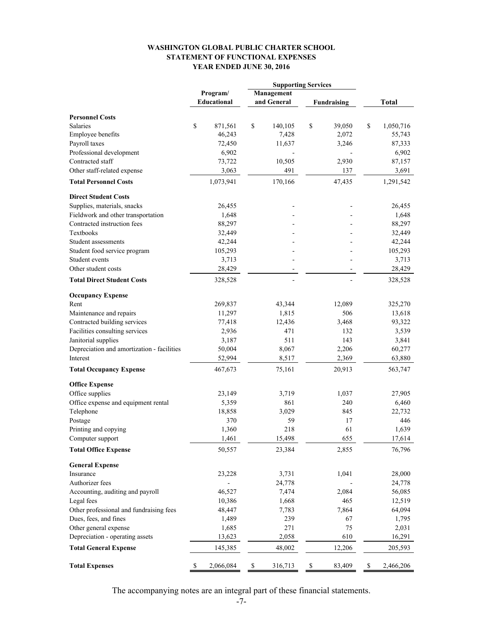#### **WASHINGTON GLOBAL PUBLIC CHARTER SCHOOL STATEMENT OF FUNCTIONAL EXPENSES YEAR ENDED JUNE 30, 2016**

|                                            |                    | <b>Supporting Services</b> |             |                    |                 |
|--------------------------------------------|--------------------|----------------------------|-------------|--------------------|-----------------|
|                                            | Program/           | Management                 |             |                    |                 |
|                                            | <b>Educational</b> | and General                |             | <b>Fundraising</b> | <b>Total</b>    |
| <b>Personnel Costs</b>                     |                    |                            |             |                    |                 |
| <b>Salaries</b>                            | \$<br>871,561      | \$<br>140,105              | \$          | 39,050             | \$<br>1,050,716 |
| Employee benefits                          | 46,243             | 7,428                      |             | 2,072              | 55,743          |
| Payroll taxes                              | 72,450             | 11,637                     |             | 3,246              | 87,333          |
|                                            |                    |                            |             |                    |                 |
| Professional development                   | 6,902              |                            |             |                    | 6,902           |
| Contracted staff                           | 73,722             | 10,505                     |             | 2,930              | 87,157          |
| Other staff-related expense                | 3,063              | 491                        |             | 137                | 3,691           |
| <b>Total Personnel Costs</b>               | 1,073,941          | 170,166                    |             | 47,435             | 1,291,542       |
| <b>Direct Student Costs</b>                |                    |                            |             |                    |                 |
| Supplies, materials, snacks                | 26,455             |                            |             |                    | 26,455          |
| Fieldwork and other transportation         | 1,648              |                            |             |                    | 1,648           |
| Contracted instruction fees                | 88,297             |                            |             |                    | 88,297          |
| Textbooks                                  | 32,449             |                            |             |                    | 32,449          |
| Student assessments                        | 42,244             |                            |             |                    | 42,244          |
| Student food service program               | 105,293            |                            |             |                    | 105,293         |
| Student events                             | 3,713              |                            |             |                    | 3,713           |
| Other student costs                        | 28,429             |                            |             |                    | 28,429          |
| <b>Total Direct Student Costs</b>          | 328,528            |                            |             |                    | 328,528         |
| <b>Occupancy Expense</b>                   |                    |                            |             |                    |                 |
| Rent                                       | 269,837            | 43,344                     |             | 12,089             | 325,270         |
| Maintenance and repairs                    | 11,297             | 1,815                      |             | 506                | 13,618          |
| Contracted building services               | 77,418             | 12,436                     |             | 3,468              | 93,322          |
| Facilities consulting services             | 2,936              | 471                        |             | 132                | 3,539           |
| Janitorial supplies                        | 3,187              | 511                        |             | 143                | 3,841           |
| Depreciation and amortization - facilities | 50,004             | 8,067                      |             | 2,206              | 60,277          |
| Interest                                   | 52,994             | 8,517                      |             | 2,369              | 63,880          |
| <b>Total Occupancy Expense</b>             | 467,673            | 75,161                     |             | 20,913             | 563,747         |
| <b>Office Expense</b>                      |                    |                            |             |                    |                 |
| Office supplies                            | 23,149             | 3,719                      |             | 1,037              | 27,905          |
| Office expense and equipment rental        | 5,359              | 861                        |             | 240                | 6,460           |
| Telephone                                  | 18,858             | 3,029                      |             | 845                | 22,732          |
| Postage                                    | 370                | 59                         |             | 17                 | 446             |
| Printing and copying                       | 1,360              | 218                        |             | 61                 | 1,639           |
| Computer support                           | 1,461              | 15,498                     |             | 655                | 17,614          |
| <b>Total Office Expense</b>                | 50,557             | 23,384                     |             | 2,855              | 76,796          |
| <b>General Expense</b>                     |                    |                            |             |                    |                 |
| Insurance                                  | 23,228             | 3,731                      |             | 1,041              | 28,000          |
| Authorizer fees                            |                    | 24,778                     |             |                    | 24,778          |
| Accounting, auditing and payroll           | 46,527             | 7,474                      |             | 2,084              | 56,085          |
| Legal fees                                 | 10,386             | 1,668                      |             | 465                | 12,519          |
| Other professional and fundraising fees    | 48,447             | 7,783                      |             | 7,864              | 64,094          |
| Dues, fees, and fines                      | 1,489              | 239                        |             | 67                 | 1,795           |
| Other general expense                      | 1,685              | 271                        |             | 75                 | 2,031           |
| Depreciation - operating assets            | 13,623             | 2,058                      |             | 610                | 16,291          |
| <b>Total General Expense</b>               | 145,385            | 48,002                     |             | 12,206             | 205,593         |
|                                            |                    |                            |             |                    |                 |
| <b>Total Expenses</b>                      | \$<br>2,066,084    | \$<br>316,713              | $\mathbb S$ | 83,409             | \$<br>2,466,206 |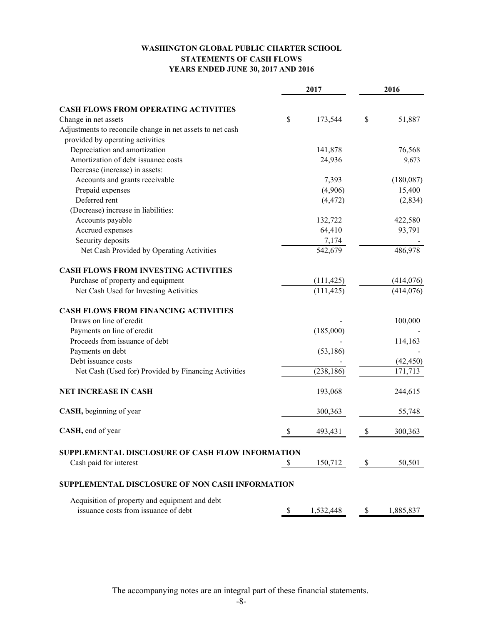## **WASHINGTON GLOBAL PUBLIC CHARTER SCHOOL STATEMENTS OF CASH FLOWS YEARS ENDED JUNE 30, 2017 AND 2016**

|                                                           | 2017 |            | 2016 |            |
|-----------------------------------------------------------|------|------------|------|------------|
| <b>CASH FLOWS FROM OPERATING ACTIVITIES</b>               |      |            |      |            |
| Change in net assets                                      | \$   | 173,544    | \$   | 51,887     |
| Adjustments to reconcile change in net assets to net cash |      |            |      |            |
| provided by operating activities                          |      |            |      |            |
| Depreciation and amortization                             |      | 141,878    |      | 76,568     |
| Amortization of debt issuance costs                       |      | 24,936     |      | 9,673      |
| Decrease (increase) in assets:                            |      |            |      |            |
| Accounts and grants receivable                            |      | 7,393      |      | (180,087)  |
| Prepaid expenses                                          |      | (4,906)    |      | 15,400     |
| Deferred rent                                             |      | (4, 472)   |      | (2, 834)   |
| (Decrease) increase in liabilities:                       |      |            |      |            |
| Accounts payable                                          |      | 132,722    |      | 422,580    |
| Accrued expenses                                          |      | 64,410     |      | 93,791     |
| Security deposits                                         |      | 7,174      |      |            |
| Net Cash Provided by Operating Activities                 |      | 542,679    |      | 486,978    |
| <b>CASH FLOWS FROM INVESTING ACTIVITIES</b>               |      |            |      |            |
| Purchase of property and equipment                        |      | (111, 425) |      | (414, 076) |
| Net Cash Used for Investing Activities                    |      | (111, 425) |      | (414, 076) |
| <b>CASH FLOWS FROM FINANCING ACTIVITIES</b>               |      |            |      |            |
| Draws on line of credit                                   |      |            |      | 100,000    |
| Payments on line of credit                                |      | (185,000)  |      |            |
| Proceeds from issuance of debt                            |      |            |      | 114,163    |
| Payments on debt                                          |      | (53, 186)  |      |            |
| Debt issuance costs                                       |      |            |      | (42, 450)  |
| Net Cash (Used for) Provided by Financing Activities      |      | (238, 186) |      | 171,713    |
| <b>NET INCREASE IN CASH</b>                               |      | 193,068    |      | 244,615    |
| CASH, beginning of year                                   |      | 300,363    |      | 55,748     |
| CASH, end of year                                         | \$   | 493,431    | \$   | 300,363    |
| SUPPLEMENTAL DISCLOSURE OF CASH FLOW INFORMATION          |      |            |      |            |
| Cash paid for interest                                    | \$   | 150,712    | \$   | 50,501     |
| SUPPLEMENTAL DISCLOSURE OF NON CASH INFORMATION           |      |            |      |            |
| Acquisition of property and equipment and debt            |      |            |      |            |
| issuance costs from issuance of debt                      | \$   | 1,532,448  | \$   | 1,885,837  |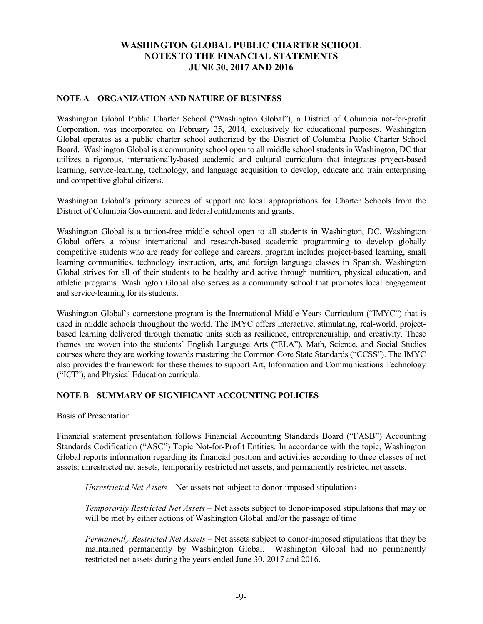### **NOTE A – ORGANIZATION AND NATURE OF BUSINESS**

Washington Global Public Charter School ("Washington Global"), a District of Columbia not-for-profit Corporation, was incorporated on February 25, 2014, exclusively for educational purposes. Washington Global operates as a public charter school authorized by the District of Columbia Public Charter School Board. Washington Global is a community school open to all middle school students in Washington, DC that utilizes a rigorous, internationally-based academic and cultural curriculum that integrates project-based learning, service-learning, technology, and language acquisition to develop, educate and train enterprising and competitive global citizens.

Washington Global's primary sources of support are local appropriations for Charter Schools from the District of Columbia Government, and federal entitlements and grants.

Washington Global is a tuition-free middle school open to all students in Washington, DC. Washington Global offers a robust international and research-based academic programming to develop globally competitive students who are ready for college and careers. program includes project-based learning, small learning communities, technology instruction, arts, and foreign language classes in Spanish. Washington Global strives for all of their students to be healthy and active through nutrition, physical education, and athletic programs. Washington Global also serves as a community school that promotes local engagement and service-learning for its students.

Washington Global's cornerstone program is the International Middle Years Curriculum ("IMYC") that is used in middle schools throughout the world. The IMYC offers interactive, stimulating, real-world, projectbased learning delivered through thematic units such as resilience, entrepreneurship, and creativity. These themes are woven into the students' English Language Arts ("ELA"), Math, Science, and Social Studies courses where they are working towards mastering the Common Core State Standards ("CCSS"). The IMYC also provides the framework for these themes to support Art, Information and Communications Technology ("ICT"), and Physical Education curricula.

#### **NOTE B – SUMMARY OF SIGNIFICANT ACCOUNTING POLICIES**

#### Basis of Presentation

Financial statement presentation follows Financial Accounting Standards Board ("FASB") Accounting Standards Codification ("ASC") Topic Not-for-Profit Entities. In accordance with the topic, Washington Global reports information regarding its financial position and activities according to three classes of net assets: unrestricted net assets, temporarily restricted net assets, and permanently restricted net assets.

*Unrestricted Net Assets* – Net assets not subject to donor-imposed stipulations

*Temporarily Restricted Net Assets* – Net assets subject to donor-imposed stipulations that may or will be met by either actions of Washington Global and/or the passage of time

*Permanently Restricted Net Assets* – Net assets subject to donor-imposed stipulations that they be maintained permanently by Washington Global. Washington Global had no permanently restricted net assets during the years ended June 30, 2017 and 2016.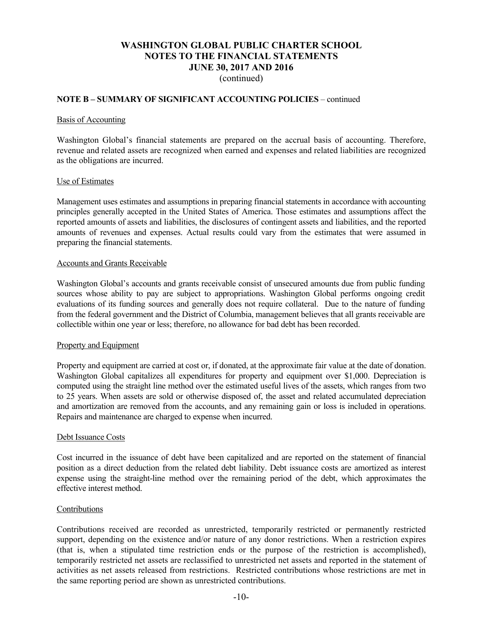(continued)

#### **NOTE B – SUMMARY OF SIGNIFICANT ACCOUNTING POLICIES** – continued

#### Basis of Accounting

Washington Global's financial statements are prepared on the accrual basis of accounting. Therefore, revenue and related assets are recognized when earned and expenses and related liabilities are recognized as the obligations are incurred.

#### Use of Estimates

Management uses estimates and assumptions in preparing financial statements in accordance with accounting principles generally accepted in the United States of America. Those estimates and assumptions affect the reported amounts of assets and liabilities, the disclosures of contingent assets and liabilities, and the reported amounts of revenues and expenses. Actual results could vary from the estimates that were assumed in preparing the financial statements.

#### Accounts and Grants Receivable

Washington Global's accounts and grants receivable consist of unsecured amounts due from public funding sources whose ability to pay are subject to appropriations. Washington Global performs ongoing credit evaluations of its funding sources and generally does not require collateral. Due to the nature of funding from the federal government and the District of Columbia, management believes that all grants receivable are collectible within one year or less; therefore, no allowance for bad debt has been recorded.

#### Property and Equipment

Property and equipment are carried at cost or, if donated, at the approximate fair value at the date of donation. Washington Global capitalizes all expenditures for property and equipment over \$1,000. Depreciation is computed using the straight line method over the estimated useful lives of the assets, which ranges from two to 25 years. When assets are sold or otherwise disposed of, the asset and related accumulated depreciation and amortization are removed from the accounts, and any remaining gain or loss is included in operations. Repairs and maintenance are charged to expense when incurred.

#### Debt Issuance Costs

Cost incurred in the issuance of debt have been capitalized and are reported on the statement of financial position as a direct deduction from the related debt liability. Debt issuance costs are amortized as interest expense using the straight-line method over the remaining period of the debt, which approximates the effective interest method.

#### Contributions

Contributions received are recorded as unrestricted, temporarily restricted or permanently restricted support, depending on the existence and/or nature of any donor restrictions. When a restriction expires (that is, when a stipulated time restriction ends or the purpose of the restriction is accomplished), temporarily restricted net assets are reclassified to unrestricted net assets and reported in the statement of activities as net assets released from restrictions. Restricted contributions whose restrictions are met in the same reporting period are shown as unrestricted contributions.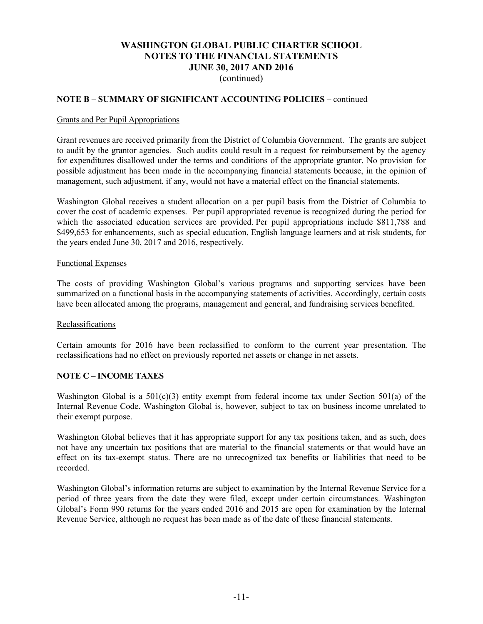(continued)

#### **NOTE B – SUMMARY OF SIGNIFICANT ACCOUNTING POLICIES** – continued

#### Grants and Per Pupil Appropriations

Grant revenues are received primarily from the District of Columbia Government. The grants are subject to audit by the grantor agencies. Such audits could result in a request for reimbursement by the agency for expenditures disallowed under the terms and conditions of the appropriate grantor. No provision for possible adjustment has been made in the accompanying financial statements because, in the opinion of management, such adjustment, if any, would not have a material effect on the financial statements.

Washington Global receives a student allocation on a per pupil basis from the District of Columbia to cover the cost of academic expenses. Per pupil appropriated revenue is recognized during the period for which the associated education services are provided. Per pupil appropriations include \$811,788 and \$499,653 for enhancements, such as special education, English language learners and at risk students, for the years ended June 30, 2017 and 2016, respectively.

#### Functional Expenses

The costs of providing Washington Global's various programs and supporting services have been summarized on a functional basis in the accompanying statements of activities. Accordingly, certain costs have been allocated among the programs, management and general, and fundraising services benefited.

#### Reclassifications

Certain amounts for 2016 have been reclassified to conform to the current year presentation. The reclassifications had no effect on previously reported net assets or change in net assets.

#### **NOTE C – INCOME TAXES**

Washington Global is a  $501(c)(3)$  entity exempt from federal income tax under Section 501(a) of the Internal Revenue Code. Washington Global is, however, subject to tax on business income unrelated to their exempt purpose.

Washington Global believes that it has appropriate support for any tax positions taken, and as such, does not have any uncertain tax positions that are material to the financial statements or that would have an effect on its tax-exempt status. There are no unrecognized tax benefits or liabilities that need to be recorded.

Washington Global's information returns are subject to examination by the Internal Revenue Service for a period of three years from the date they were filed, except under certain circumstances. Washington Global's Form 990 returns for the years ended 2016 and 2015 are open for examination by the Internal Revenue Service, although no request has been made as of the date of these financial statements.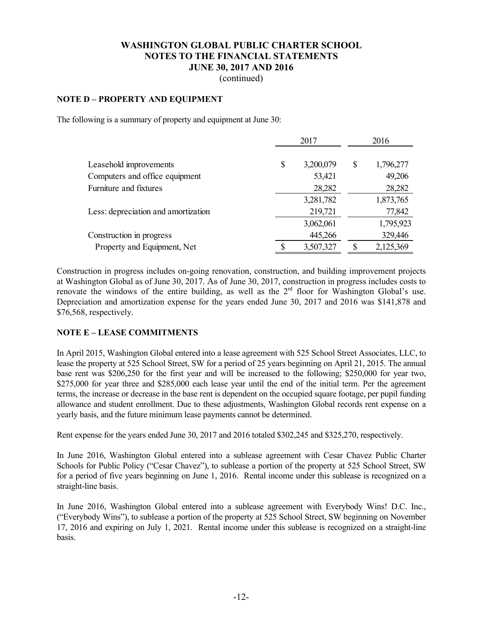(continued)

#### **NOTE D – PROPERTY AND EQUIPMENT**

The following is a summary of property and equipment at June 30:

|                                     | 2017 |           | 2016 |           |
|-------------------------------------|------|-----------|------|-----------|
| Leasehold improvements              | \$   | 3,200,079 | S    | 1,796,277 |
| Computers and office equipment      |      | 53,421    |      | 49,206    |
| Furniture and fixtures              |      | 28,282    |      | 28,282    |
|                                     |      | 3,281,782 |      | 1,873,765 |
| Less: depreciation and amortization |      | 219,721   |      | 77,842    |
|                                     |      | 3,062,061 |      | 1,795,923 |
| Construction in progress            |      | 445,266   |      | 329,446   |
| Property and Equipment, Net         |      | 3,507,327 |      | 2,125,369 |

Construction in progress includes on-going renovation, construction, and building improvement projects at Washington Global as of June 30, 2017. As of June 30, 2017, construction in progress includes costs to renovate the windows of the entire building, as well as the  $2<sup>rd</sup>$  floor for Washington Global's use. Depreciation and amortization expense for the years ended June 30, 2017 and 2016 was \$141,878 and \$76,568, respectively.

#### **NOTE E – LEASE COMMITMENTS**

In April 2015, Washington Global entered into a lease agreement with 525 School Street Associates, LLC, to lease the property at 525 School Street, SW for a period of 25 years beginning on April 21, 2015. The annual base rent was \$206,250 for the first year and will be increased to the following; \$250,000 for year two, \$275,000 for year three and \$285,000 each lease year until the end of the initial term. Per the agreement terms, the increase or decrease in the base rent is dependent on the occupied square footage, per pupil funding allowance and student enrollment. Due to these adjustments, Washington Global records rent expense on a yearly basis, and the future minimum lease payments cannot be determined.

Rent expense for the years ended June 30, 2017 and 2016 totaled \$302,245 and \$325,270, respectively.

In June 2016, Washington Global entered into a sublease agreement with Cesar Chavez Public Charter Schools for Public Policy ("Cesar Chavez"), to sublease a portion of the property at 525 School Street, SW for a period of five years beginning on June 1, 2016. Rental income under this sublease is recognized on a straight-line basis.

In June 2016, Washington Global entered into a sublease agreement with Everybody Wins! D.C. Inc., ("Everybody Wins"), to sublease a portion of the property at 525 School Street, SW beginning on November 17, 2016 and expiring on July 1, 2021. Rental income under this sublease is recognized on a straight-line basis.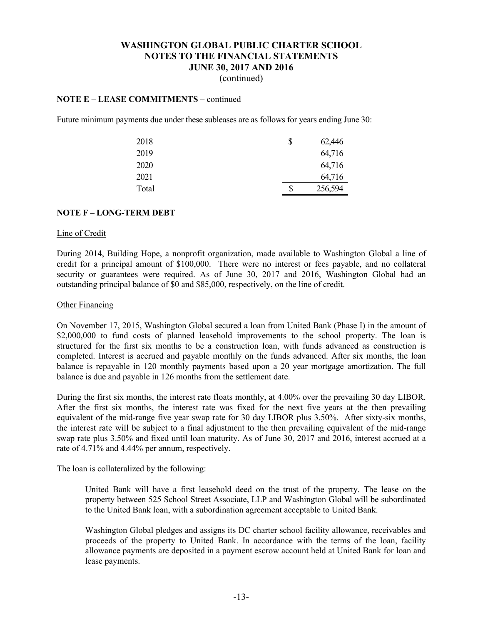(continued)

## **NOTE E – LEASE COMMITMENTS** – continued

Future minimum payments due under these subleases are as follows for years ending June 30:

| 2018  | \$<br>62,446  |
|-------|---------------|
| 2019  | 64,716        |
| 2020  | 64,716        |
| 2021  | 64,716        |
| Total | \$<br>256,594 |

#### **NOTE F – LONG-TERM DEBT**

#### Line of Credit

During 2014, Building Hope, a nonprofit organization, made available to Washington Global a line of credit for a principal amount of \$100,000. There were no interest or fees payable, and no collateral security or guarantees were required. As of June 30, 2017 and 2016, Washington Global had an outstanding principal balance of \$0 and \$85,000, respectively, on the line of credit.

#### Other Financing

On November 17, 2015, Washington Global secured a loan from United Bank (Phase I) in the amount of \$2,000,000 to fund costs of planned leasehold improvements to the school property. The loan is structured for the first six months to be a construction loan, with funds advanced as construction is completed. Interest is accrued and payable monthly on the funds advanced. After six months, the loan balance is repayable in 120 monthly payments based upon a 20 year mortgage amortization. The full balance is due and payable in 126 months from the settlement date.

During the first six months, the interest rate floats monthly, at 4.00% over the prevailing 30 day LIBOR. After the first six months, the interest rate was fixed for the next five years at the then prevailing equivalent of the mid-range five year swap rate for 30 day LIBOR plus 3.50%. After sixty-six months, the interest rate will be subject to a final adjustment to the then prevailing equivalent of the mid-range swap rate plus 3.50% and fixed until loan maturity. As of June 30, 2017 and 2016, interest accrued at a rate of 4.71% and 4.44% per annum, respectively.

The loan is collateralized by the following:

United Bank will have a first leasehold deed on the trust of the property. The lease on the property between 525 School Street Associate, LLP and Washington Global will be subordinated to the United Bank loan, with a subordination agreement acceptable to United Bank.

Washington Global pledges and assigns its DC charter school facility allowance, receivables and proceeds of the property to United Bank. In accordance with the terms of the loan, facility allowance payments are deposited in a payment escrow account held at United Bank for loan and lease payments.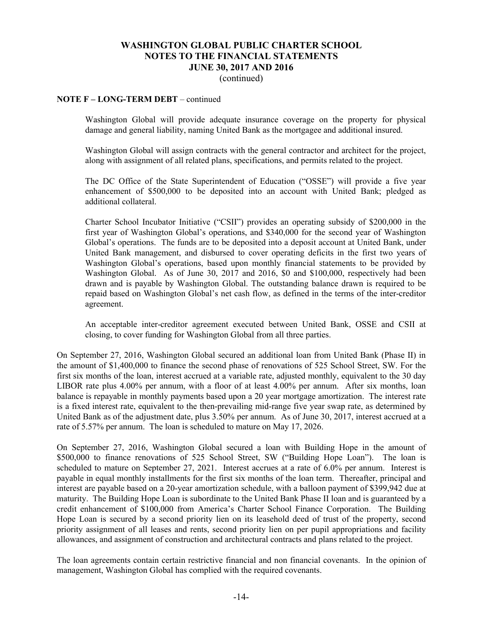(continued)

### **NOTE F – LONG-TERM DEBT** – continued

Washington Global will provide adequate insurance coverage on the property for physical damage and general liability, naming United Bank as the mortgagee and additional insured.

Washington Global will assign contracts with the general contractor and architect for the project, along with assignment of all related plans, specifications, and permits related to the project.

The DC Office of the State Superintendent of Education ("OSSE") will provide a five year enhancement of \$500,000 to be deposited into an account with United Bank; pledged as additional collateral.

Charter School Incubator Initiative ("CSII") provides an operating subsidy of \$200,000 in the first year of Washington Global's operations, and \$340,000 for the second year of Washington Global's operations. The funds are to be deposited into a deposit account at United Bank, under United Bank management, and disbursed to cover operating deficits in the first two years of Washington Global's operations, based upon monthly financial statements to be provided by Washington Global. As of June 30, 2017 and 2016, \$0 and \$100,000, respectively had been drawn and is payable by Washington Global. The outstanding balance drawn is required to be repaid based on Washington Global's net cash flow, as defined in the terms of the inter-creditor agreement.

An acceptable inter-creditor agreement executed between United Bank, OSSE and CSII at closing, to cover funding for Washington Global from all three parties.

On September 27, 2016, Washington Global secured an additional loan from United Bank (Phase II) in the amount of \$1,400,000 to finance the second phase of renovations of 525 School Street, SW. For the first six months of the loan, interest accrued at a variable rate, adjusted monthly, equivalent to the 30 day LIBOR rate plus 4.00% per annum, with a floor of at least 4.00% per annum. After six months, loan balance is repayable in monthly payments based upon a 20 year mortgage amortization. The interest rate is a fixed interest rate, equivalent to the then-prevailing mid-range five year swap rate, as determined by United Bank as of the adjustment date, plus 3.50% per annum. As of June 30, 2017, interest accrued at a rate of 5.57% per annum. The loan is scheduled to mature on May 17, 2026.

On September 27, 2016, Washington Global secured a loan with Building Hope in the amount of \$500,000 to finance renovations of 525 School Street, SW ("Building Hope Loan"). The loan is scheduled to mature on September 27, 2021. Interest accrues at a rate of 6.0% per annum. Interest is payable in equal monthly installments for the first six months of the loan term. Thereafter, principal and interest are payable based on a 20-year amortization schedule, with a balloon payment of \$399,942 due at maturity. The Building Hope Loan is subordinate to the United Bank Phase II loan and is guaranteed by a credit enhancement of \$100,000 from America's Charter School Finance Corporation. The Building Hope Loan is secured by a second priority lien on its leasehold deed of trust of the property, second priority assignment of all leases and rents, second priority lien on per pupil appropriations and facility allowances, and assignment of construction and architectural contracts and plans related to the project.

The loan agreements contain certain restrictive financial and non financial covenants. In the opinion of management, Washington Global has complied with the required covenants.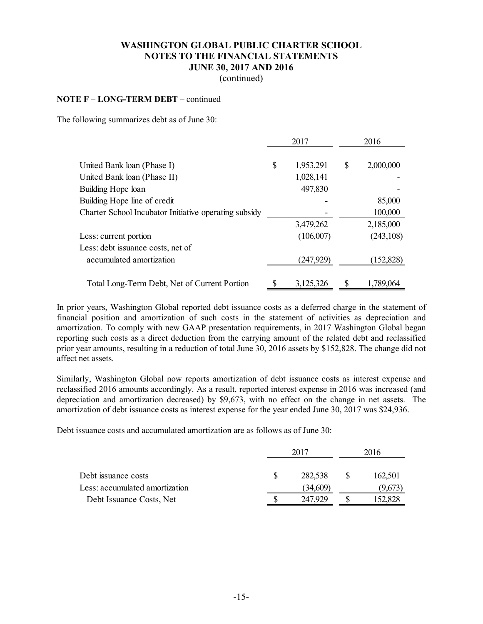(continued)

#### **NOTE F – LONG-TERM DEBT** – continued

The following summarizes debt as of June 30:

|                                                       |    | 2017      | 2016 |            |
|-------------------------------------------------------|----|-----------|------|------------|
| United Bank loan (Phase I)                            | \$ | 1,953,291 | S    | 2,000,000  |
| United Bank loan (Phase II)                           |    | 1,028,141 |      |            |
| Building Hope loan                                    |    | 497,830   |      |            |
| Building Hope line of credit                          |    |           |      | 85,000     |
| Charter School Incubator Initiative operating subsidy |    |           |      | 100,000    |
|                                                       |    | 3,479,262 |      | 2,185,000  |
| Less: current portion                                 |    | (106,007) |      | (243, 108) |
| Less: debt issuance costs, net of                     |    |           |      |            |
| accumulated amortization                              |    | (247,929) |      | (152, 828) |
| Total Long-Term Debt, Net of Current Portion          | \$ | 3,125,326 |      | 1,789,064  |

In prior years, Washington Global reported debt issuance costs as a deferred charge in the statement of financial position and amortization of such costs in the statement of activities as depreciation and amortization. To comply with new GAAP presentation requirements, in 2017 Washington Global began reporting such costs as a direct deduction from the carrying amount of the related debt and reclassified prior year amounts, resulting in a reduction of total June 30, 2016 assets by \$152,828. The change did not affect net assets.

Similarly, Washington Global now reports amortization of debt issuance costs as interest expense and reclassified 2016 amounts accordingly. As a result, reported interest expense in 2016 was increased (and depreciation and amortization decreased) by \$9,673, with no effect on the change in net assets. The amortization of debt issuance costs as interest expense for the year ended June 30, 2017 was \$24,936.

Debt issuance costs and accumulated amortization are as follows as of June 30:

|                                | 2017 |          | 2016 |         |
|--------------------------------|------|----------|------|---------|
| Debt issuance costs            |      | 282,538  |      | 162,501 |
| Less: accumulated amortization |      | (34,609) |      | (9,673) |
| Debt Issuance Costs, Net       |      | 247,929  |      | 152,828 |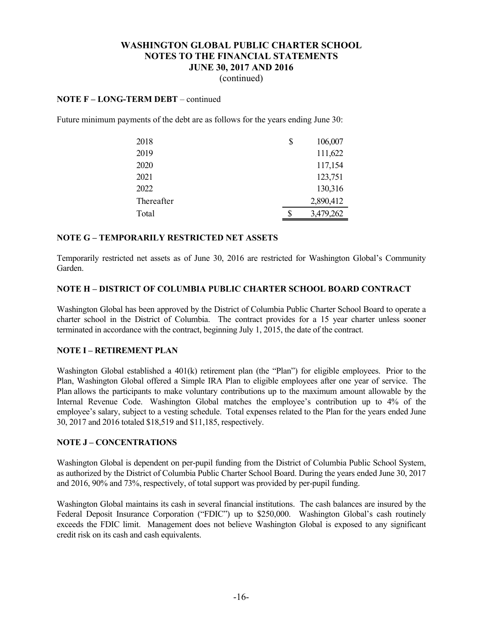(continued)

#### **NOTE F – LONG-TERM DEBT** – continued

Future minimum payments of the debt are as follows for the years ending June 30:

| 2018       | \$<br>106,007   |
|------------|-----------------|
| 2019       | 111,622         |
| 2020       | 117,154         |
| 2021       | 123,751         |
| 2022       | 130,316         |
| Thereafter | 2,890,412       |
| Total      | \$<br>3,479,262 |

#### **NOTE G – TEMPORARILY RESTRICTED NET ASSETS**

Temporarily restricted net assets as of June 30, 2016 are restricted for Washington Global's Community Garden.

#### **NOTE H – DISTRICT OF COLUMBIA PUBLIC CHARTER SCHOOL BOARD CONTRACT**

Washington Global has been approved by the District of Columbia Public Charter School Board to operate a charter school in the District of Columbia. The contract provides for a 15 year charter unless sooner terminated in accordance with the contract, beginning July 1, 2015, the date of the contract.

### **NOTE I – RETIREMENT PLAN**

Washington Global established a 401(k) retirement plan (the "Plan") for eligible employees. Prior to the Plan, Washington Global offered a Simple IRA Plan to eligible employees after one year of service. The Plan allows the participants to make voluntary contributions up to the maximum amount allowable by the Internal Revenue Code. Washington Global matches the employee's contribution up to 4% of the employee's salary, subject to a vesting schedule. Total expenses related to the Plan for the years ended June 30, 2017 and 2016 totaled \$18,519 and \$11,185, respectively.

#### **NOTE J – CONCENTRATIONS**

Washington Global is dependent on per-pupil funding from the District of Columbia Public School System, as authorized by the District of Columbia Public Charter School Board. During the years ended June 30, 2017 and 2016, 90% and 73%, respectively, of total support was provided by per-pupil funding.

Washington Global maintains its cash in several financial institutions. The cash balances are insured by the Federal Deposit Insurance Corporation ("FDIC") up to \$250,000. Washington Global's cash routinely exceeds the FDIC limit. Management does not believe Washington Global is exposed to any significant credit risk on its cash and cash equivalents.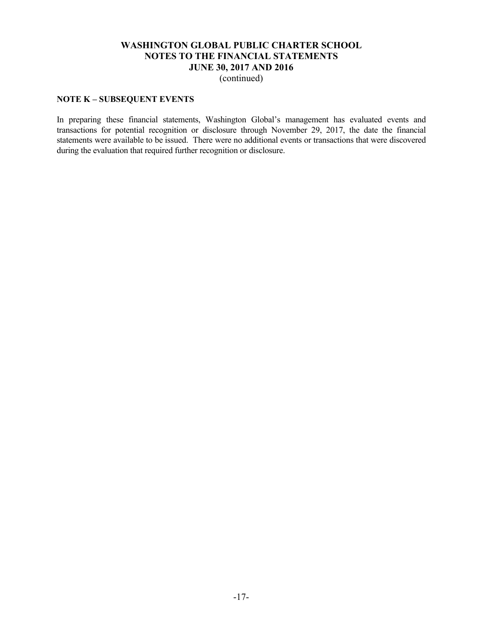(continued)

### **NOTE K – SUBSEQUENT EVENTS**

In preparing these financial statements, Washington Global's management has evaluated events and transactions for potential recognition or disclosure through November 29, 2017, the date the financial statements were available to be issued. There were no additional events or transactions that were discovered during the evaluation that required further recognition or disclosure.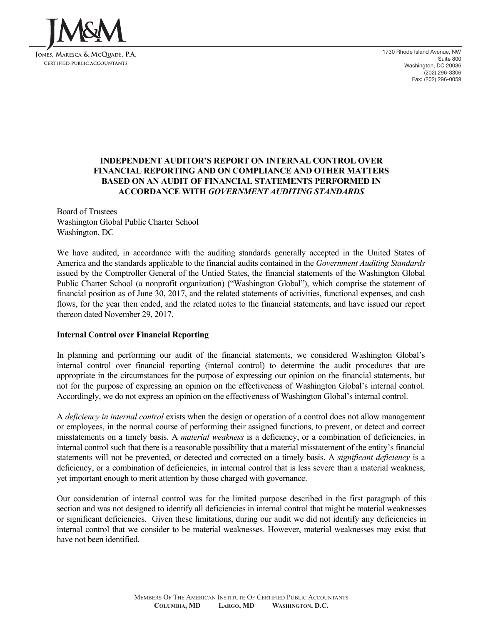

1730 Rhode Island Avenue, NW Suite 800 Washington, DC 20036 (202) 296-3306 Fax: (202) 296-0059

## **INDEPENDENT AUDITOR'S REPORT ON INTERNAL CONTROL OVER FINANCIAL REPORTING AND ON COMPLIANCE AND OTHER MATTERS BASED ON AN AUDIT OF FINANCIAL STATEMENTS PERFORMED IN ACCORDANCE WITH** *GOVERNMENT AUDITING STANDARDS*

Board of Trustees Washington Global Public Charter School Washington, DC

We have audited, in accordance with the auditing standards generally accepted in the United States of America and the standards applicable to the financial audits contained in the *Government Auditing Standards* issued by the Comptroller General of the Untied States, the financial statements of the Washington Global Public Charter School (a nonprofit organization) ("Washington Global"), which comprise the statement of financial position as of June 30, 2017, and the related statements of activities, functional expenses, and cash flows, for the year then ended, and the related notes to the financial statements, and have issued our report thereon dated November 29, 2017.

#### **Internal Control over Financial Reporting**

In planning and performing our audit of the financial statements, we considered Washington Global's internal control over financial reporting (internal control) to determine the audit procedures that are appropriate in the circumstances for the purpose of expressing our opinion on the financial statements, but not for the purpose of expressing an opinion on the effectiveness of Washington Global's internal control. Accordingly, we do not express an opinion on the effectiveness of Washington Global's internal control.

A *deficiency in internal control* exists when the design or operation of a control does not allow management or employees, in the normal course of performing their assigned functions, to prevent, or detect and correct misstatements on a timely basis. A *material weakness* is a deficiency, or a combination of deficiencies, in internal control such that there is a reasonable possibility that a material misstatement of the entity's financial statements will not be prevented, or detected and corrected on a timely basis. A *significant deficiency* is a deficiency, or a combination of deficiencies, in internal control that is less severe than a material weakness, yet important enough to merit attention by those charged with governance.

Our consideration of internal control was for the limited purpose described in the first paragraph of this section and was not designed to identify all deficiencies in internal control that might be material weaknesses or significant deficiencies. Given these limitations, during our audit we did not identify any deficiencies in internal control that we consider to be material weaknesses. However, material weaknesses may exist that have not been identified.